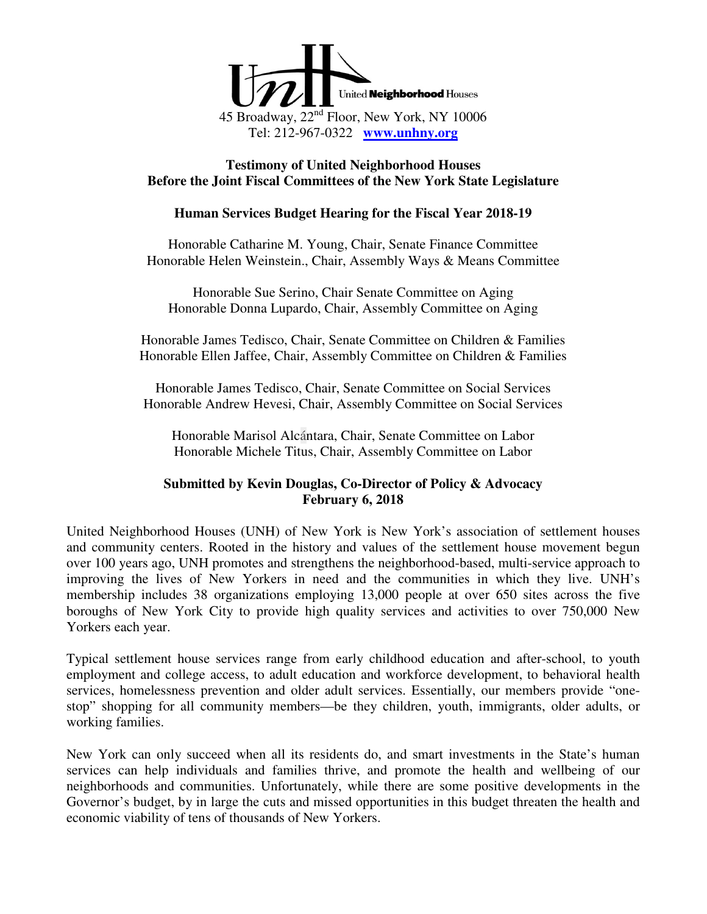

#### **Testimony of United Neighborhood Houses Before the Joint Fiscal Committees of the New York State Legislature**

#### **Human Services Budget Hearing for the Fiscal Year 2018-19**

Honorable Catharine M. Young, Chair, Senate Finance Committee Honorable Helen Weinstein., Chair, Assembly Ways & Means Committee

Honorable Sue Serino, Chair Senate Committee on Aging Honorable Donna Lupardo, Chair, Assembly Committee on Aging

Honorable James Tedisco, Chair, Senate Committee on Children & Families Honorable Ellen Jaffee, Chair, Assembly Committee on Children & Families

Honorable James Tedisco, Chair, Senate Committee on Social Services Honorable Andrew Hevesi, Chair, Assembly Committee on Social Services

Honorable Marisol Alcántara, Chair, Senate Committee on Labor Honorable Michele Titus, Chair, Assembly Committee on Labor

# **Submitted by Kevin Douglas, Co-Director of Policy & Advocacy February 6, 2018**

United Neighborhood Houses (UNH) of New York is New York's association of settlement houses and community centers. Rooted in the history and values of the settlement house movement begun over 100 years ago, UNH promotes and strengthens the neighborhood-based, multi-service approach to improving the lives of New Yorkers in need and the communities in which they live. UNH's membership includes 38 organizations employing 13,000 people at over 650 sites across the five boroughs of New York City to provide high quality services and activities to over 750,000 New Yorkers each year.

Typical settlement house services range from early childhood education and after-school, to youth employment and college access, to adult education and workforce development, to behavioral health services, homelessness prevention and older adult services. Essentially, our members provide "onestop" shopping for all community members—be they children, youth, immigrants, older adults, or working families.

New York can only succeed when all its residents do, and smart investments in the State's human services can help individuals and families thrive, and promote the health and wellbeing of our neighborhoods and communities. Unfortunately, while there are some positive developments in the Governor's budget, by in large the cuts and missed opportunities in this budget threaten the health and economic viability of tens of thousands of New Yorkers.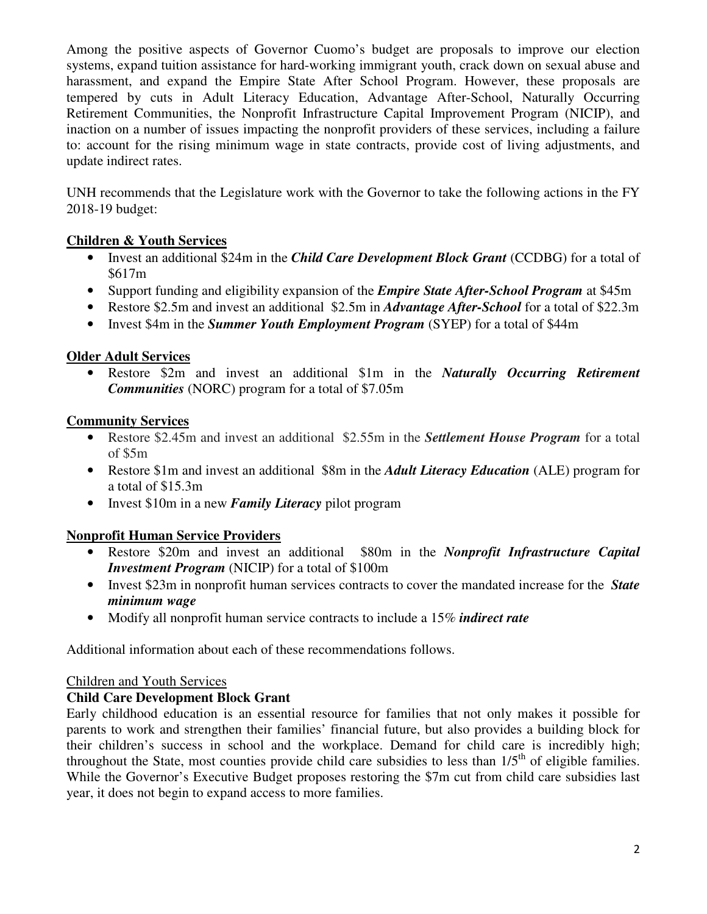Among the positive aspects of Governor Cuomo's budget are proposals to improve our election systems, expand tuition assistance for hard-working immigrant youth, crack down on sexual abuse and harassment, and expand the Empire State After School Program. However, these proposals are tempered by cuts in Adult Literacy Education, Advantage After-School, Naturally Occurring Retirement Communities, the Nonprofit Infrastructure Capital Improvement Program (NICIP), and inaction on a number of issues impacting the nonprofit providers of these services, including a failure to: account for the rising minimum wage in state contracts, provide cost of living adjustments, and update indirect rates.

UNH recommends that the Legislature work with the Governor to take the following actions in the FY 2018-19 budget:

# **Children & Youth Services**

- Invest an additional \$24m in the *Child Care Development Block Grant* (CCDBG) for a total of \$617m
- Support funding and eligibility expansion of the *Empire State After-School Program* at \$45m
- Restore \$2.5m and invest an additional \$2.5m in *Advantage After-School* for a total of \$22.3m
- Invest \$4m in the *Summer Youth Employment Program* (SYEP) for a total of \$44m

# **Older Adult Services**

• Restore \$2m and invest an additional \$1m in the *Naturally Occurring Retirement Communities* (NORC) program for a total of \$7.05m

# **Community Services**

- Restore \$2.45m and invest an additional \$2.55m in the *Settlement House Program* for a total of \$5m
- Restore \$1m and invest an additional \$8m in the *Adult Literacy Education* (ALE) program for a total of \$15.3m
- Invest \$10m in a new *Family Literacy* pilot program

# **Nonprofit Human Service Providers**

- Restore \$20m and invest an additional \$80m in the *Nonprofit Infrastructure Capital Investment Program* (NICIP) for a total of \$100m
- Invest \$23m in nonprofit human services contracts to cover the mandated increase for the *State minimum wage*
- Modify all nonprofit human service contracts to include a 15% *indirect rate*

Additional information about each of these recommendations follows.

# Children and Youth Services

# **Child Care Development Block Grant**

Early childhood education is an essential resource for families that not only makes it possible for parents to work and strengthen their families' financial future, but also provides a building block for their children's success in school and the workplace. Demand for child care is incredibly high; throughout the State, most counties provide child care subsidies to less than  $1/5<sup>th</sup>$  of eligible families. While the Governor's Executive Budget proposes restoring the \$7m cut from child care subsidies last year, it does not begin to expand access to more families.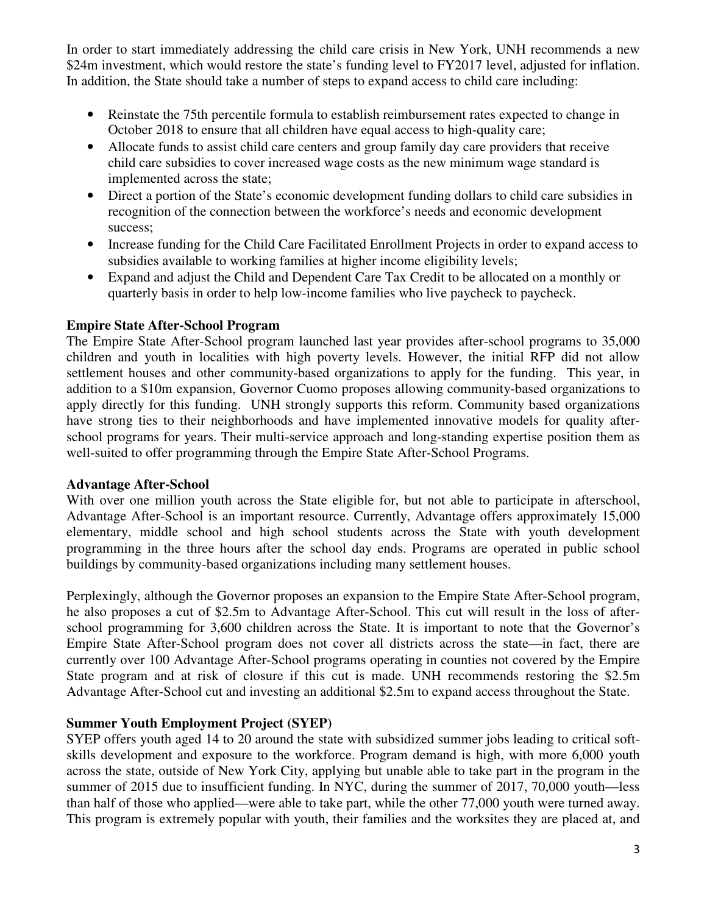In order to start immediately addressing the child care crisis in New York, UNH recommends a new \$24m investment, which would restore the state's funding level to FY2017 level, adjusted for inflation. In addition, the State should take a number of steps to expand access to child care including:

- Reinstate the 75th percentile formula to establish reimbursement rates expected to change in October 2018 to ensure that all children have equal access to high-quality care;
- Allocate funds to assist child care centers and group family day care providers that receive child care subsidies to cover increased wage costs as the new minimum wage standard is implemented across the state;
- Direct a portion of the State's economic development funding dollars to child care subsidies in recognition of the connection between the workforce's needs and economic development success;
- Increase funding for the Child Care Facilitated Enrollment Projects in order to expand access to subsidies available to working families at higher income eligibility levels;
- Expand and adjust the Child and Dependent Care Tax Credit to be allocated on a monthly or quarterly basis in order to help low-income families who live paycheck to paycheck.

#### **Empire State After-School Program**

The Empire State After-School program launched last year provides after-school programs to 35,000 children and youth in localities with high poverty levels. However, the initial RFP did not allow settlement houses and other community-based organizations to apply for the funding. This year, in addition to a \$10m expansion, Governor Cuomo proposes allowing community-based organizations to apply directly for this funding. UNH strongly supports this reform. Community based organizations have strong ties to their neighborhoods and have implemented innovative models for quality afterschool programs for years. Their multi-service approach and long-standing expertise position them as well-suited to offer programming through the Empire State After-School Programs.

#### **Advantage After-School**

With over one million youth across the State eligible for, but not able to participate in afterschool, Advantage After-School is an important resource. Currently, Advantage offers approximately 15,000 elementary, middle school and high school students across the State with youth development programming in the three hours after the school day ends. Programs are operated in public school buildings by community-based organizations including many settlement houses.

Perplexingly, although the Governor proposes an expansion to the Empire State After-School program, he also proposes a cut of \$2.5m to Advantage After-School. This cut will result in the loss of afterschool programming for 3,600 children across the State. It is important to note that the Governor's Empire State After-School program does not cover all districts across the state—in fact, there are currently over 100 Advantage After-School programs operating in counties not covered by the Empire State program and at risk of closure if this cut is made. UNH recommends restoring the \$2.5m Advantage After-School cut and investing an additional \$2.5m to expand access throughout the State.

#### **Summer Youth Employment Project (SYEP)**

SYEP offers youth aged 14 to 20 around the state with subsidized summer jobs leading to critical softskills development and exposure to the workforce. Program demand is high, with more 6,000 youth across the state, outside of New York City, applying but unable able to take part in the program in the summer of 2015 due to insufficient funding. In NYC, during the summer of 2017, 70,000 youth—less than half of those who applied—were able to take part, while the other 77,000 youth were turned away. This program is extremely popular with youth, their families and the worksites they are placed at, and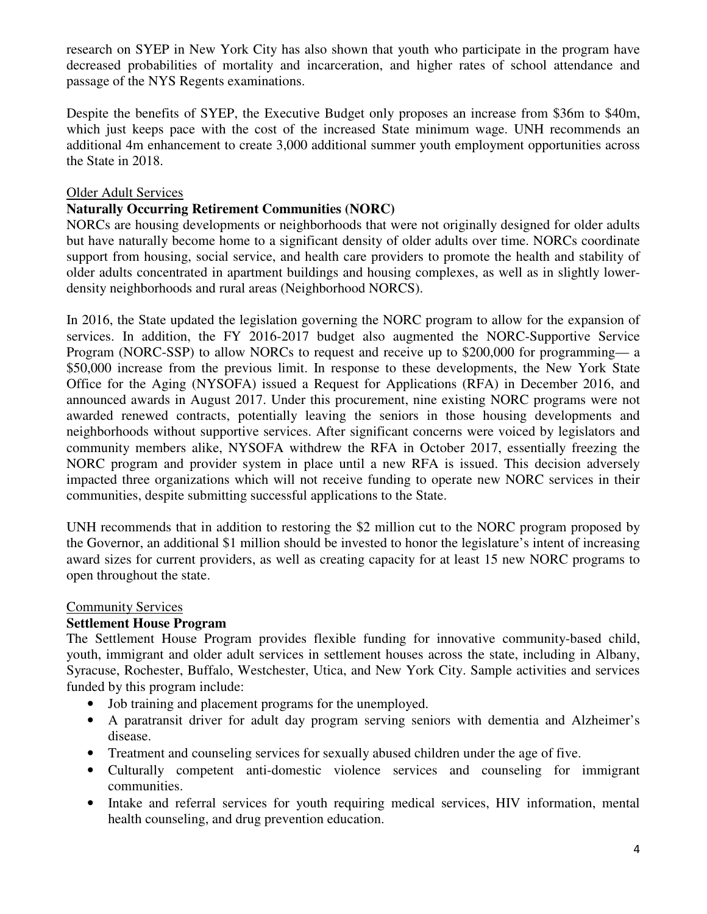research on SYEP in New York City has also shown that youth who participate in the program have decreased probabilities of mortality and incarceration, and higher rates of school attendance and passage of the NYS Regents examinations.

Despite the benefits of SYEP, the Executive Budget only proposes an increase from \$36m to \$40m, which just keeps pace with the cost of the increased State minimum wage. UNH recommends an additional 4m enhancement to create 3,000 additional summer youth employment opportunities across the State in 2018.

# Older Adult Services

#### **Naturally Occurring Retirement Communities (NORC)**

NORCs are housing developments or neighborhoods that were not originally designed for older adults but have naturally become home to a significant density of older adults over time. NORCs coordinate support from housing, social service, and health care providers to promote the health and stability of older adults concentrated in apartment buildings and housing complexes, as well as in slightly lowerdensity neighborhoods and rural areas (Neighborhood NORCS).

In 2016, the State updated the legislation governing the NORC program to allow for the expansion of services. In addition, the FY 2016-2017 budget also augmented the NORC-Supportive Service Program (NORC-SSP) to allow NORCs to request and receive up to \$200,000 for programming— a \$50,000 increase from the previous limit. In response to these developments, the New York State Office for the Aging (NYSOFA) issued a Request for Applications (RFA) in December 2016, and announced awards in August 2017. Under this procurement, nine existing NORC programs were not awarded renewed contracts, potentially leaving the seniors in those housing developments and neighborhoods without supportive services. After significant concerns were voiced by legislators and community members alike, NYSOFA withdrew the RFA in October 2017, essentially freezing the NORC program and provider system in place until a new RFA is issued. This decision adversely impacted three organizations which will not receive funding to operate new NORC services in their communities, despite submitting successful applications to the State.

UNH recommends that in addition to restoring the \$2 million cut to the NORC program proposed by the Governor, an additional \$1 million should be invested to honor the legislature's intent of increasing award sizes for current providers, as well as creating capacity for at least 15 new NORC programs to open throughout the state.

#### Community Services

#### **Settlement House Program**

The Settlement House Program provides flexible funding for innovative community-based child, youth, immigrant and older adult services in settlement houses across the state, including in Albany, Syracuse, Rochester, Buffalo, Westchester, Utica, and New York City. Sample activities and services funded by this program include:

- Job training and placement programs for the unemployed.
- A paratransit driver for adult day program serving seniors with dementia and Alzheimer's disease.
- Treatment and counseling services for sexually abused children under the age of five.
- Culturally competent anti-domestic violence services and counseling for immigrant communities.
- Intake and referral services for youth requiring medical services, HIV information, mental health counseling, and drug prevention education.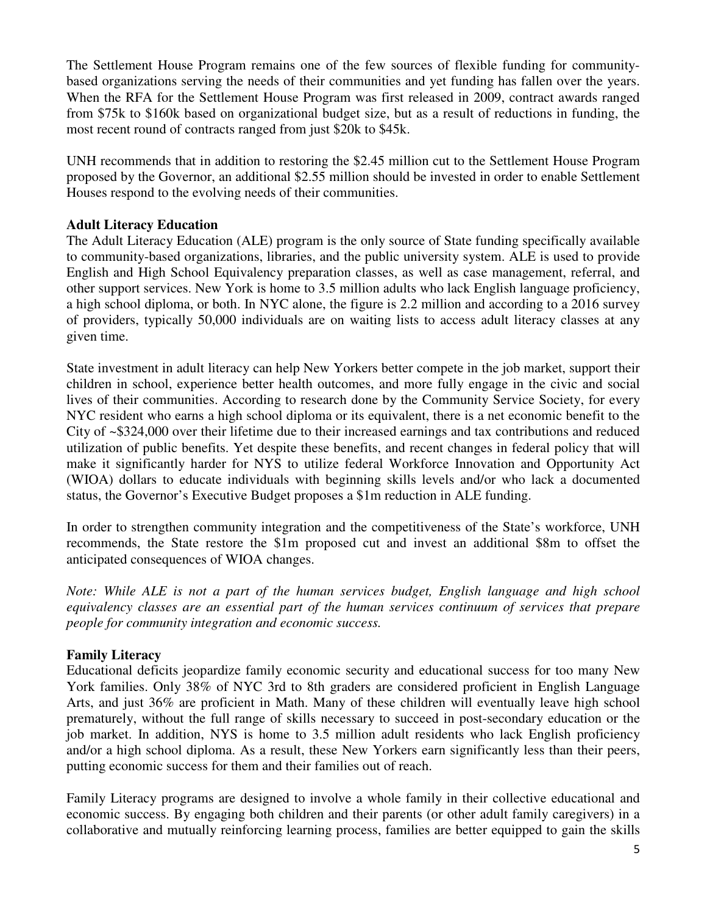The Settlement House Program remains one of the few sources of flexible funding for communitybased organizations serving the needs of their communities and yet funding has fallen over the years. When the RFA for the Settlement House Program was first released in 2009, contract awards ranged from \$75k to \$160k based on organizational budget size, but as a result of reductions in funding, the most recent round of contracts ranged from just \$20k to \$45k.

UNH recommends that in addition to restoring the \$2.45 million cut to the Settlement House Program proposed by the Governor, an additional \$2.55 million should be invested in order to enable Settlement Houses respond to the evolving needs of their communities.

#### **Adult Literacy Education**

The Adult Literacy Education (ALE) program is the only source of State funding specifically available to community-based organizations, libraries, and the public university system. ALE is used to provide English and High School Equivalency preparation classes, as well as case management, referral, and other support services. New York is home to 3.5 million adults who lack English language proficiency, a high school diploma, or both. In NYC alone, the figure is 2.2 million and according to a 2016 survey of providers, typically 50,000 individuals are on waiting lists to access adult literacy classes at any given time.

State investment in adult literacy can help New Yorkers better compete in the job market, support their children in school, experience better health outcomes, and more fully engage in the civic and social lives of their communities. According to research done by the Community Service Society, for every NYC resident who earns a high school diploma or its equivalent, there is a net economic benefit to the City of ~\$324,000 over their lifetime due to their increased earnings and tax contributions and reduced utilization of public benefits. Yet despite these benefits, and recent changes in federal policy that will make it significantly harder for NYS to utilize federal Workforce Innovation and Opportunity Act (WIOA) dollars to educate individuals with beginning skills levels and/or who lack a documented status, the Governor's Executive Budget proposes a \$1m reduction in ALE funding.

In order to strengthen community integration and the competitiveness of the State's workforce, UNH recommends, the State restore the \$1m proposed cut and invest an additional \$8m to offset the anticipated consequences of WIOA changes.

*Note: While ALE is not a part of the human services budget, English language and high school equivalency classes are an essential part of the human services continuum of services that prepare people for community integration and economic success.* 

# **Family Literacy**

Educational deficits jeopardize family economic security and educational success for too many New York families. Only 38% of NYC 3rd to 8th graders are considered proficient in English Language Arts, and just 36% are proficient in Math. Many of these children will eventually leave high school prematurely, without the full range of skills necessary to succeed in post-secondary education or the job market. In addition, NYS is home to 3.5 million adult residents who lack English proficiency and/or a high school diploma. As a result, these New Yorkers earn significantly less than their peers, putting economic success for them and their families out of reach.

Family Literacy programs are designed to involve a whole family in their collective educational and economic success. By engaging both children and their parents (or other adult family caregivers) in a collaborative and mutually reinforcing learning process, families are better equipped to gain the skills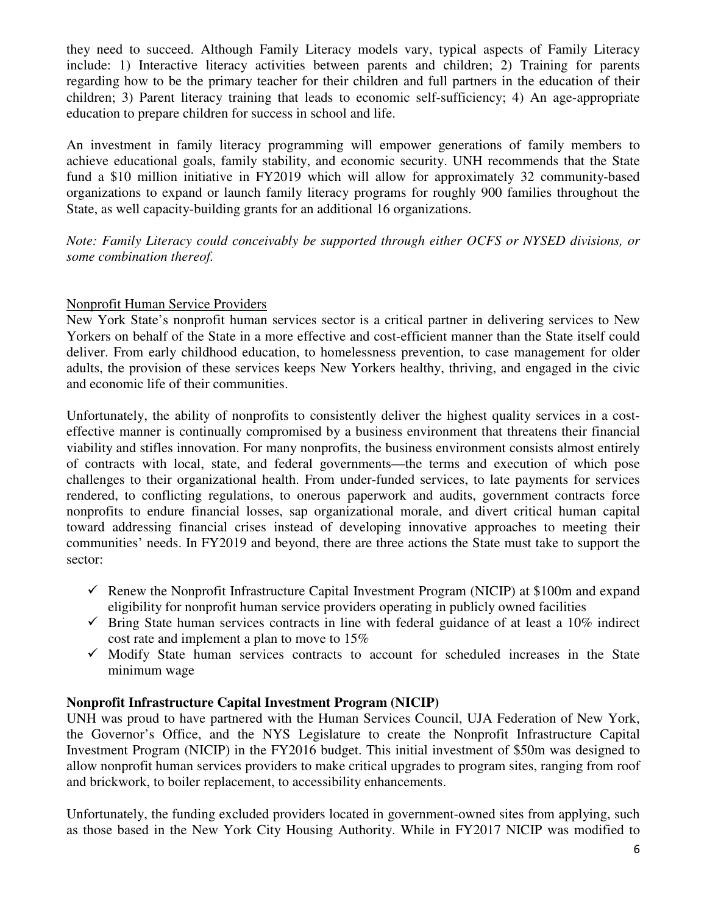they need to succeed. Although Family Literacy models vary, typical aspects of Family Literacy include: 1) Interactive literacy activities between parents and children; 2) Training for parents regarding how to be the primary teacher for their children and full partners in the education of their children; 3) Parent literacy training that leads to economic self-sufficiency; 4) An age-appropriate education to prepare children for success in school and life.

An investment in family literacy programming will empower generations of family members to achieve educational goals, family stability, and economic security. UNH recommends that the State fund a \$10 million initiative in FY2019 which will allow for approximately 32 community-based organizations to expand or launch family literacy programs for roughly 900 families throughout the State, as well capacity-building grants for an additional 16 organizations.

*Note: Family Literacy could conceivably be supported through either OCFS or NYSED divisions, or some combination thereof.* 

# Nonprofit Human Service Providers

New York State's nonprofit human services sector is a critical partner in delivering services to New Yorkers on behalf of the State in a more effective and cost-efficient manner than the State itself could deliver. From early childhood education, to homelessness prevention, to case management for older adults, the provision of these services keeps New Yorkers healthy, thriving, and engaged in the civic and economic life of their communities.

Unfortunately, the ability of nonprofits to consistently deliver the highest quality services in a costeffective manner is continually compromised by a business environment that threatens their financial viability and stifles innovation. For many nonprofits, the business environment consists almost entirely of contracts with local, state, and federal governments—the terms and execution of which pose challenges to their organizational health. From under-funded services, to late payments for services rendered, to conflicting regulations, to onerous paperwork and audits, government contracts force nonprofits to endure financial losses, sap organizational morale, and divert critical human capital toward addressing financial crises instead of developing innovative approaches to meeting their communities' needs. In FY2019 and beyond, there are three actions the State must take to support the sector:

- Renew the Nonprofit Infrastructure Capital Investment Program (NICIP) at \$100m and expand eligibility for nonprofit human service providers operating in publicly owned facilities
- $\checkmark$  Bring State human services contracts in line with federal guidance of at least a 10% indirect cost rate and implement a plan to move to 15%
- $\checkmark$  Modify State human services contracts to account for scheduled increases in the State minimum wage

# **Nonprofit Infrastructure Capital Investment Program (NICIP)**

UNH was proud to have partnered with the Human Services Council, UJA Federation of New York, the Governor's Office, and the NYS Legislature to create the Nonprofit Infrastructure Capital Investment Program (NICIP) in the FY2016 budget. This initial investment of \$50m was designed to allow nonprofit human services providers to make critical upgrades to program sites, ranging from roof and brickwork, to boiler replacement, to accessibility enhancements.

Unfortunately, the funding excluded providers located in government-owned sites from applying, such as those based in the New York City Housing Authority. While in FY2017 NICIP was modified to